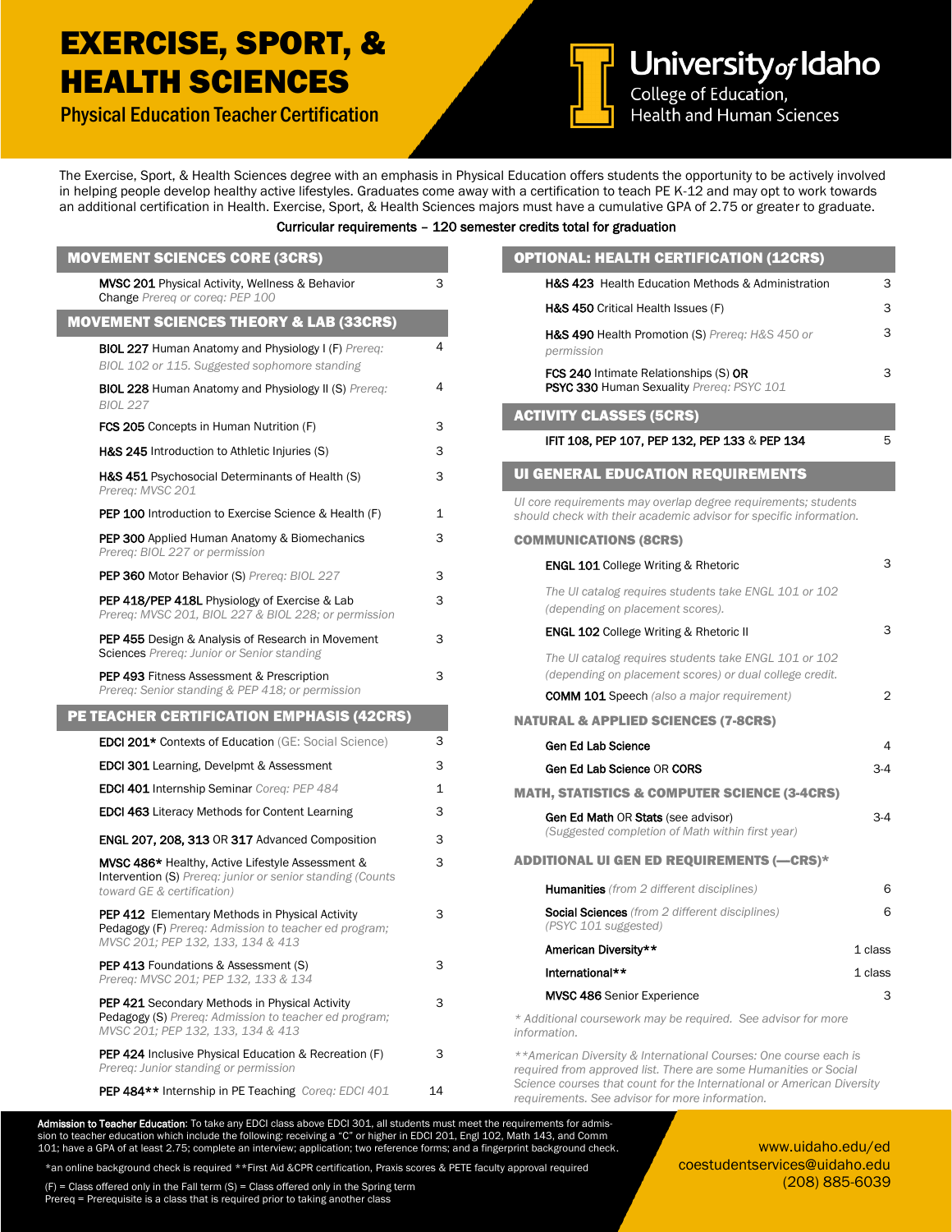### EXERCISE, SPORT, & HEALTH SCIENCES

Physical Education Teacher Certification



University of Idaho College of Education, Health and Human Sciences

The Exercise, Sport, & Health Sciences degree with an emphasis in Physical Education offers students the opportunity to be actively involved in helping people develop healthy active lifestyles. Graduates come away with a certification to teach PE K-12 and may opt to work towards an additional certification in Health. Exercise, Sport, & Health Sciences majors must have a cumulative GPA of 2.75 or greater to graduate.

#### Curricular requirements – 120 semester credits total for graduation

| <b>MOVEMENT SCIENCES CORE (3CRS)</b>                                                                                                         |    | <b>OPTIONAL: HEALTH CERTIFICATION (12CRS)</b>                                                                                         |                |  |
|----------------------------------------------------------------------------------------------------------------------------------------------|----|---------------------------------------------------------------------------------------------------------------------------------------|----------------|--|
| <b>MVSC 201</b> Physical Activity, Wellness & Behavior                                                                                       | 3  | H&S 423 Health Education Methods & Administration                                                                                     | З              |  |
| Change Prereg or coreg: PEP 100                                                                                                              |    | H&S 450 Critical Health Issues (F)                                                                                                    | 3              |  |
| <b>MOVEMENT SCIENCES THEORY &amp; LAB (33CRS)</b><br><b>BIOL 227 Human Anatomy and Physiology I (F) Prereg:</b>                              | 4  | H&S 490 Health Promotion (S) Prereg: H&S 450 or                                                                                       | 3              |  |
| BIOL 102 or 115. Suggested sophomore standing                                                                                                |    | permission<br>FCS 240 Intimate Relationships (S) OR                                                                                   | 3              |  |
| <b>BIOL 228 Human Anatomy and Physiology II (S) Prereg:</b><br><b>BIOL 227</b>                                                               | 4  | PSYC 330 Human Sexuality Prereq: PSYC 101                                                                                             |                |  |
| FCS 205 Concepts in Human Nutrition (F)                                                                                                      | 3  | <b>ACTIVITY CLASSES (5CRS)</b>                                                                                                        |                |  |
| H&S 245 Introduction to Athletic Injuries (S)                                                                                                | 3  | IFIT 108, PEP 107, PEP 132, PEP 133 & PEP 134                                                                                         | 5              |  |
| H&S 451 Psychosocial Determinants of Health (S)<br>Prereg: MVSC 201                                                                          | 3  | <b>UI GENERAL EDUCATION REQUIREMENTS</b>                                                                                              |                |  |
| <b>PEP 100</b> Introduction to Exercise Science & Health (F)                                                                                 | 1  | Ul core requirements may overlap degree requirements; students<br>should check with their academic advisor for specific information.  |                |  |
| <b>PEP 300</b> Applied Human Anatomy & Biomechanics<br>Prereg: BIOL 227 or permission                                                        | 3  | <b>COMMUNICATIONS (8CRS)</b>                                                                                                          |                |  |
| <b>PEP 360 Motor Behavior (S) Prereg: BIOL 227</b>                                                                                           | 3  | <b>ENGL 101 College Writing &amp; Rhetoric</b>                                                                                        | 3              |  |
| <b>PEP 418/PEP 418L</b> Physiology of Exercise & Lab<br>Prereq: MVSC 201, BIOL 227 & BIOL 228; or permission                                 | 3  | The UI catalog requires students take ENGL 101 or 102<br>(depending on placement scores).                                             |                |  |
| <b>PEP 455</b> Design & Analysis of Research in Movement                                                                                     | 3  | <b>ENGL 102 College Writing &amp; Rhetoric II</b>                                                                                     | З              |  |
| <b>Sciences</b> Prereq: Junior or Senior standing<br><b>PEP 493 Fitness Assessment &amp; Prescription</b>                                    | 3  | The UI catalog requires students take ENGL 101 or 102<br>(depending on placement scores) or dual college credit.                      |                |  |
| Prereq: Senior standing & PEP 418; or permission                                                                                             |    | <b>COMM 101 Speech</b> (also a major requirement)                                                                                     | 2              |  |
| PE TEACHER CERTIFICATION EMPHASIS (42CRS)                                                                                                    |    | <b>NATURAL &amp; APPLIED SCIENCES (7-8CRS)</b>                                                                                        |                |  |
| EDCI 201* Contexts of Education (GE: Social Science)                                                                                         | 3  | <b>Gen Ed Lab Science</b>                                                                                                             | $\overline{4}$ |  |
| <b>EDCI 301</b> Learning, Develpmt & Assessment                                                                                              | 3  | Gen Ed Lab Science OR CORS                                                                                                            | $3-4$          |  |
| <b>EDCI 401 Internship Seminar Coreg: PEP 484</b>                                                                                            | 1  | <b>MATH, STATISTICS &amp; COMPUTER SCIENCE (3-4CRS)</b>                                                                               |                |  |
| <b>EDCI 463</b> Literacy Methods for Content Learning                                                                                        | 3  | <b>Gen Ed Math OR Stats (see advisor)</b>                                                                                             |                |  |
| <b>ENGL 207, 208, 313 OR 317 Advanced Composition</b>                                                                                        | 3  | (Suggested completion of Math within first year)                                                                                      |                |  |
| MVSC 486* Healthy, Active Lifestyle Assessment &<br>Intervention (S) Prereq: junior or senior standing (Counts<br>toward GE & certification) | 3  | <b>ADDITIONAL UI GEN ED REQUIREMENTS (-CRS)*</b>                                                                                      |                |  |
|                                                                                                                                              |    | <b>Humanities</b> (from 2 different disciplines)                                                                                      | 6              |  |
| PEP 412 Elementary Methods in Physical Activity<br>Pedagogy (F) Prereq: Admission to teacher ed program;                                     | 3  | <b>Social Sciences</b> (from 2 different disciplines)<br>(PSYC 101 suggested)                                                         | 6              |  |
| MVSC 201; PEP 132, 133, 134 & 413                                                                                                            |    | American Diversity**                                                                                                                  | 1 class        |  |
| <b>PEP 413 Foundations &amp; Assessment (S)</b><br>Prereg: MVSC 201; PEP 132, 133 & 134                                                      | 3  | International**                                                                                                                       | 1 class        |  |
| <b>PEP 421 Secondary Methods in Physical Activity</b>                                                                                        | 3  | <b>MVSC 486</b> Senior Experience                                                                                                     | 3              |  |
| <b>Pedagogy (S)</b> Prereq: Admission to teacher ed program;<br>MVSC 201; PEP 132, 133, 134 & 413                                            |    | * Additional coursework may be required. See advisor for more<br>information.                                                         |                |  |
| <b>PEP 424</b> Inclusive Physical Education & Recreation (F)<br>Prereg: Junior standing or permission                                        | 3  | ** American Diversity & International Courses: One course each is<br>required from approved list. There are some Humanities or Social |                |  |
| PEP 484** Internship in PE Teaching Coreq: EDCI 401                                                                                          | 14 | Science courses that count for the International or American Diversity<br>requirements. See advisor for more information.             |                |  |

**Admission to Teacher Education**: To take any EDCI class above EDCI 301, all students must meet the requirements for admis-<br>sion to teacher education which include the following: receiving a "C" or higher in EDCI 201, Engl 101; have a GPA of at least 2.75; complete an interview; application; two reference forms; and a fingerprint background check.

\*an online background check is required \*\*First Aid &CPR certification, Praxis scores & PETE faculty approval required

 $(F)$  = Class offered only in the Fall term  $(S)$  = Class offered only in the Spring term Prereq = Prerequisite is a class that is required prior to taking another class

www.uidaho.edu/ed coestudentservices@uidaho.edu (208) 885-6039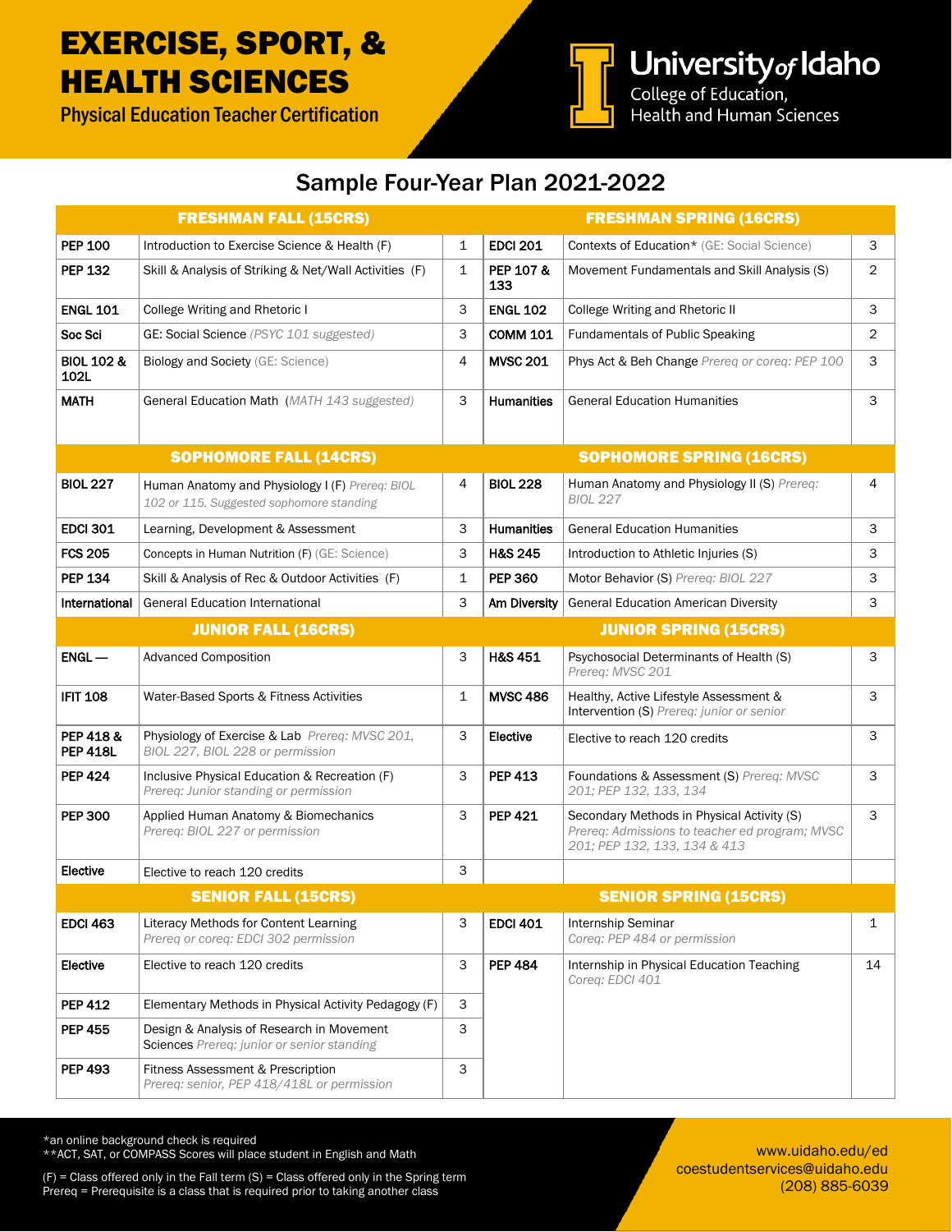## EXERCISE, SPORT, & HEALTH SCIENCES

Physical Education Teacher Certification



University of Idaho<br>College of Education,<br>Health and Human Sciences

### Sample Four-Year Plan 2021-2022

|                               | <b>FRESHMAN FALL (15CRS)</b>                                                                |              |                     | <b>FRESHMAN SPRING (16CRS)</b>                                                                                               |                |
|-------------------------------|---------------------------------------------------------------------------------------------|--------------|---------------------|------------------------------------------------------------------------------------------------------------------------------|----------------|
| <b>PEP 100</b>                | Introduction to Exercise Science & Health (F)                                               | $\mathbf{1}$ | <b>EDCI 201</b>     | Contexts of Education* (GE: Social Science)                                                                                  | 3              |
| <b>PEP 132</b>                | Skill & Analysis of Striking & Net/Wall Activities (F)                                      | 1            | PEP 107 &<br>133    | Movement Fundamentals and Skill Analysis (S)                                                                                 | $\overline{2}$ |
| <b>ENGL 101</b>               | College Writing and Rhetoric I                                                              | 3            | <b>ENGL 102</b>     | College Writing and Rhetoric II                                                                                              | 3              |
| Soc Sci                       | GE: Social Science (PSYC 101 suggested)                                                     | 3            | <b>COMM 101</b>     | <b>Fundamentals of Public Speaking</b>                                                                                       | 2              |
| <b>BIOL 102 &amp;</b><br>102L | <b>Biology and Society (GE: Science)</b>                                                    | 4            | <b>MVSC 201</b>     | Phys Act & Beh Change Prereq or coreq: PEP 100                                                                               | 3              |
| <b>MATH</b>                   | General Education Math (MATH 143 suggested)                                                 | 3            | <b>Humanities</b>   | <b>General Education Humanities</b>                                                                                          | 3              |
|                               | <b>SOPHOMORE FALL (14CRS)</b>                                                               |              |                     | <b>SOPHOMORE SPRING (16CRS)</b>                                                                                              |                |
| <b>BIOL 227</b>               | Human Anatomy and Physiology I (F) Prereq: BIOL<br>102 or 115. Suggested sophomore standing | 4            | <b>BIOL 228</b>     | Human Anatomy and Physiology II (S) Prereq:<br><b>BIOL 227</b>                                                               | 4              |
| <b>EDCI 301</b>               | Learning, Development & Assessment                                                          | 3            | <b>Humanities</b>   | <b>General Education Humanities</b>                                                                                          | 3              |
| <b>FCS 205</b>                | Concepts in Human Nutrition (F) (GE: Science)                                               | 3            | <b>H&amp;S 245</b>  | Introduction to Athletic Injuries (S)                                                                                        | 3              |
| <b>PEP 134</b>                | Skill & Analysis of Rec & Outdoor Activities (F)                                            | 1            | <b>PEP 360</b>      | Motor Behavior (S) Prereq: BIOL 227                                                                                          | 3              |
| International                 | <b>General Education International</b>                                                      | 3            | <b>Am Diversity</b> | <b>General Education American Diversity</b>                                                                                  | 3              |
|                               | <b>JUNIOR FALL (16CRS)</b>                                                                  |              |                     | <b>JUNIOR SPRING (15CRS)</b>                                                                                                 |                |
| $ENGL -$                      | <b>Advanced Composition</b>                                                                 | 3            | <b>H&amp;S 451</b>  | Psychosocial Determinants of Health (S)<br>Prereg: MVSC 201                                                                  | 3              |
| <b>IFIT 108</b>               | Water-Based Sports & Fitness Activities                                                     | 1            | <b>MVSC 486</b>     | Healthy, Active Lifestyle Assessment &<br>Intervention (S) Prereg: junior or senior                                          | 3              |
| PEP 418 &<br><b>PEP 418L</b>  | Physiology of Exercise & Lab Prereq: MVSC 201,<br>BIOL 227, BIOL 228 or permission          | 3            | Elective            | Elective to reach 120 credits                                                                                                | 3              |
| <b>PEP 424</b>                | Inclusive Physical Education & Recreation (F)<br>Prereq: Junior standing or permission      | 3            | <b>PEP 413</b>      | Foundations & Assessment (S) Prereq: MVSC<br>201; PEP 132, 133, 134                                                          | 3              |
| <b>PEP 300</b>                | Applied Human Anatomy & Biomechanics<br>Prereq: BIOL 227 or permission                      | 3            | <b>PEP 421</b>      | Secondary Methods in Physical Activity (S)<br>Prereq: Admissions to teacher ed program; MVSC<br>201; PEP 132, 133, 134 & 413 | 3              |
| Elective                      | Elective to reach 120 credits                                                               | 3            |                     |                                                                                                                              |                |
|                               | <b>SENIOR FALL (15CRS)</b>                                                                  |              |                     | <b>SENIOR SPRING (15CRS)</b>                                                                                                 |                |
| <b>EDCI 463</b>               | Literacy Methods for Content Learning<br>Prereq or coreq: EDCI 302 permission               | 3            | <b>EDCI 401</b>     | Internship Seminar<br>Coreq: PEP 484 or permission                                                                           | $\mathbf{1}$   |
| Elective                      | Elective to reach 120 credits                                                               | 3            | <b>PEP 484</b>      | Internship in Physical Education Teaching<br>Coreg: EDCI 401                                                                 | 14             |
| <b>PEP 412</b>                | Elementary Methods in Physical Activity Pedagogy (F)                                        | 3            |                     |                                                                                                                              |                |
| <b>PEP 455</b>                | Design & Analysis of Research in Movement<br>Sciences Prereq: junior or senior standing     | 3            |                     |                                                                                                                              |                |
| <b>PEP 493</b>                | Fitness Assessment & Prescription<br>Prereq: senior, PEP 418/418L or permission             | 3            |                     |                                                                                                                              |                |

\*an online background check is required

\*\*ACT, SAT, or COMPASS Scores will place student in English and Math

 $(F)$  = Class offered only in the Fall term  $(S)$  = Class offered only in the Spring term Prereq = Prerequisite is a class that is required prior to taking another class

www.uidaho.edu/ed coestudentservices@uidaho.edu (208) 885-6039